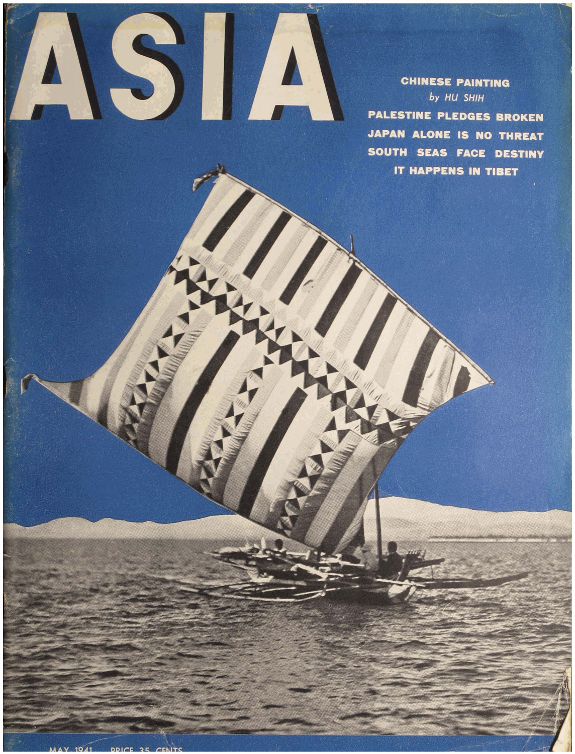

L

**CHINESE PAINTING** by HU SHIH **PALESTINE PLEDGES BROKEN** JAPAN ALONE IS NO THREAT SOUTH SEAS FACE DESTINY IT HAPPENS IN TIBET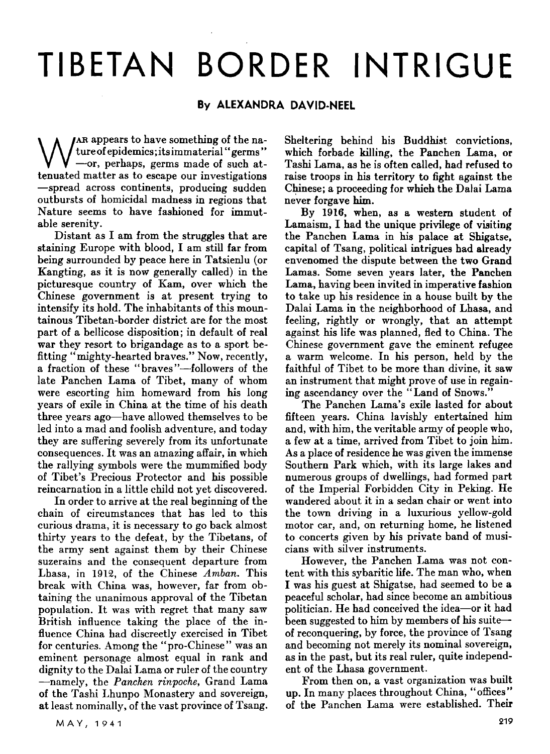## TIBETAN BORDER INTRIGUE

## By ALEXANDRA DAVID-NEEL

W AR appears to have something of the na-<br>  $\bigvee$  ture of epidemics; its immaterial "germs"<br>
-or, perhaps, germs made of such at-<br>
tenuated matter as to escape our investigations AR appears to have something of the nature of epidemics; its immaterial "germs" tenuated matter as to escape our investigations -spread across continents, producing sudden outbursts of homicidal madness in regions that Nature seems to have fashioned for immutable serenity.

Distant as I am from the struggles that are staining Europe with blood. I am still far from being surrounded by peace here in Tatsienlu (or Kangting, as it is now generally called) in the picturesque country of Kam, over which the Chinese government is at present trying to intensify its hold. The inhabitants of this mountainous Tibetan-border district are for the most part of a bellicose disposition; in default of real war they resort to brigandage as to a sport befitting "mighty-hearted braves." Now, recently, a fraction of these "braves"-followers of the late Panchen Lama of Tibet, many of whom were escorting him homeward from his long years of exile in China at the time of his death three years ago-have allowed themselves to be led into a mad and foolish adventure, and today they are suffering severely from its unfortunate consequences. It was an amazing affair, in which the rallying symbols were the mummified body of Tibet's Precious Protector and his possible reincarnation in a little child not vet discovered.

In order to arrive at the real beginning of the chain of circumstances that has led to this curious drama, it is necessary to go back almost thirty years to the defeat, by the Tibetans, of the army sent against them by their Chinese suzerains and the consequent departure from Lhasa, in 1912, of the Chinese *Amban.* This break with China was. however. far from obtaining the unanimous approval of the Tibetan population. It was with regret that many saw British influence taking the place of the influence China had discreetly exercised in Tibet for centuries. Among the "pro-Chinese" was an eminent personage almost equal in rank and dignity to the Dalai Lama or ruler of the country -namely, the *Panchen rinpoche,* Grand Lama of the Tashi Lhunpo Monastery and sovereign, at least nominally, of the vast province of Tsang. Sheltering behind his Buddhist convictions, which forbade killing, the Panchen Lama, or Tashi Lama, as he is often called, had refused to raise troops in his territory to fight against the Chinese; a proceeding for which the Dalai Lama never forgave him.

By 1916, when, as a western student of Lamaism, I had the unique privilege of visiting the Panchen Lama in his palace at Shigatse, capital of Tsang, political intrigues had already envenomed the dispute between the two Grand Lamas. Some seven years later, the Panchen Lama, having been invited in imperative fashion to take up his residence in a house built by the Dalai Lama in the neighborhood of Lhasa, and feeling, rightly or wrongly, that an attempt against his life was planned, fled to China. The Chinese government gave the eminent refugee a warm welcome. In his person, held by the faithful of Tibet to be more than divine. it saw an instrument that might prove of use in regaining ascendancy over the "Land of Snows."

The Panchen Lama's exile lasted for about fifteen vears. China lavishlv entertained him and, with him, the veritable army of people who, a few at a time. arrived from Tibet to join him. As a place of residence he was given the immense Southern Park which. with its large lakes and numerous groups of dwellings, had formed part of the Imperial Forbidden City in Peking. He wandered about it in a sedan chair or went into the town driving in a luxurious yellow-gold motor car, and, on returning home, he listened to concerts given by his private band of musicians with silver instruments.

However, the Panchen Lama was not content with this sybaritic life. The man who, when I was his guest at Shigatse, had seemed to be a peaceful scholar, had since become an ambitious politician. He had conceived the idea-or it had been suggested to him by members of his suiteof reconquering, by force, the province of Tsang and becoming not merely its nominal sovereign, as in the past, but its real ruler, quite independent of the Lhasa government.

From then on, a vast organization was built up. In many places throughout China, "offices" of the Panchen Lama were established. Their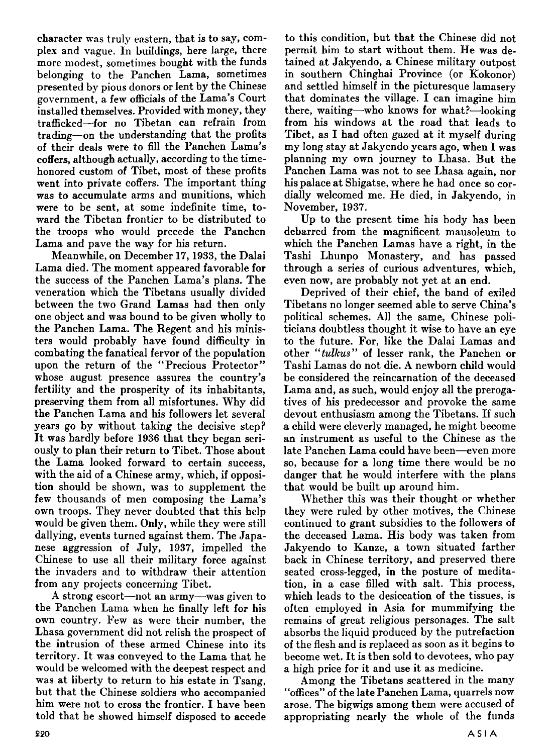character was truly eastern, that is to say, complex and vague. In buildings, here large, there more modest, sometimes bought with the funds belonging to the Panchen Lama, sometimes presented by pious donors or lent by the Chinese government, a few officials of the Lama's Court installed themselves. Provided with money, they trafficked-for no Tibetan can refrain from trading-on the understanding that the profits of their deals were to fill the Panchen Lama's coffers, although actually, according to the timehonored custom of Tibet, most of these profits went into private coffers. The important thing was to accumulate arms and munitions, which were to be sent, at some indefinite time, toward the Tibetan frontier to be distributed to the troops who would precede the Panchen Lama and pave the way for his return.

Meanwhile, on December 17,1933, the Dalai Lama died. The moment appeared favorable for the success of the Panchen Lama's plans. The veneration which the Tibetans usually divided between the two Grand Lamas had then only one object and was bound to be given wholly to the Panchen Lama. The Regent and his ministers would probably have found difficulty in combating the fanatical fervor of the population upon the return of the "Precious Protector" whose august presence assures the country's fertility and the prosperity of its inhabitants, preserving them from all misfortunes. Why did the Panchen Lama and his followers let several years go by without taking the decisive step? It was hardly before 1936 that they began seriously to plan their return to Tibet. Those about the Lama looked forward to certain success, with the aid of a Chinese army, which, if opposition should be shown, was to supplement the few thousands of men composing the Lama's own troops. They never doubted that this help would be given them. Only, while they were still dallying, events turned against them. The Japanese aggression of July, 1937, impelled the Chinese to use all their military force against the invaders and to withdraw their attention from any projects concerning Tibet.

A strong escort-not an army-was given to the Panchen Lama when he finally left for his own country. Few as were their number, the Lhasa government did not relish the prospect of the intrusion of these armed Chinese into its territory. It was conveyed to the Lama that he would be welcomed with the deepest respect and was at liberty to return to his estate in Tsang, but that the Chinese soldiers who accompanied him were not to cross the frontier. I have been told that he showed himself disposed to accede to this condition, but that the Chinese did not permit him to start without them. He was detained at Jakyendo, a Chinese military outpost in southern Chinghai Province (or Kokonor) and settled himself in the picturesque lamasery that dominates the village. I can imagine him there, waiting-who knows for what?-looking from his windows at the road that leads to Tibet, as I had often gazed at it myself during my long stay at Jakyendo years ago, when I was planning my own journey to Lhasa. But the Panchen Lama was not to see Lhasa again, nor his palace at Shigatse, where he had once so cordially welcomed me. He died, in Jakyendo, in November, 1937.

Up to the present time his body has been debarred from the magnificent mausoleum to which the Panchen Lamas have a right, in the Tashi Lhunpo Monastery, and has passed through a series of curious adventures, which, even now, are probably not yet at an end.

Deprived of their chief, the band of exiled Tibetans no longer seemed able to serve China's political schemes. All the same, Chinese politicians doubtless thought it wise to have an eye to the future. For, like the Dalai Lamas and other *"tulkus"* of lesser rank, the Panchen or Tashi Lamas do not die. A newborn child would be considered the reincarnation of the deceased Lama and, as such, would enjoy all the prerogatives of his predecessor and provoke the same devout enthusiasm among the Tibetans. If such a child were cleverly managed, he might become an instrument as useful to the Chinese as the late Panchen Lama could have been-even more so, because for a long time there would be no danger that he would interfere with the plans that would be built up around him.

Whether this was their thought or whether they were ruled by other motives, the Chinese continued to grant subsidies to the followers of the deceased Lama. His body was taken from Jakyendo to Kanze, a town situated farther back in Chinese territory, and preserved there seated cross-legged, in the posture of meditation, in a case filled with salt. This process, which leads to the desiccation of the tissues, is often employed in Asia for mummifying the remains of great religious personages. The salt absorbs the liquid produced by the putrefaction of the flesh and is replaced as soon as it begins to become wet. It is then sold to devotees, who pay a high price for it and use it as medicine.

Among the Tibetans scattered in the many "offices" of the late Panchen Lama, quarrels now arose. The bigwigs among them were accused of appropriating nearly the whole of the funds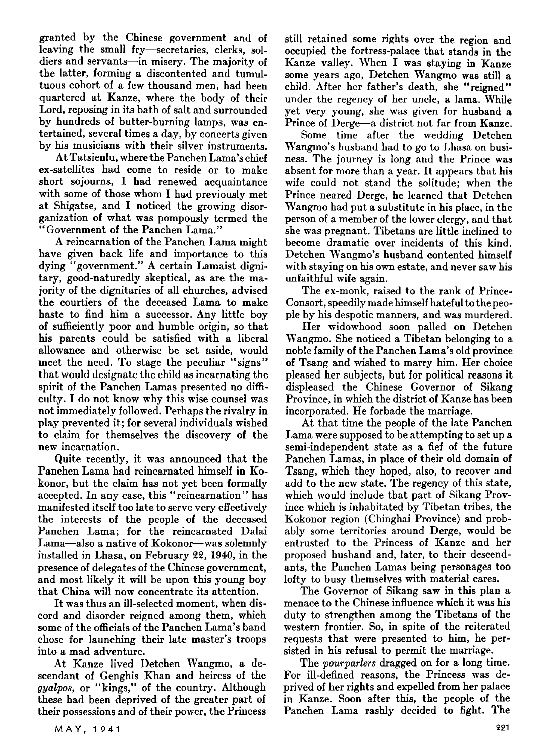granted by the Chinese government and of leaving the small fry-secretaries, clerks, soldiers and servants-in misery. The majority of the latter, forming a discontented and tumultuous cohort of a few thousand men, had been quartered at Kanze, where the body of their Lord, reposing in its bath of salt and surrounded by hundreds of butter-burning lamps, was entertained, several times a day, by concerts given by his musicians with their silver instruments.

At Tatsienlu, where the Panchen Lama's chief ex-satellites had come to reside or to make short sojourns, I had renewed acquaintance with some of those whom I had previously met at Shigatse, and I noticed the growing disorganization of what was pompously termed the "Government of the Panchen Lama."

A reincarnation of the Panchen Lama might have given back life and importance to this dying "government." A certain Lamaist dignitary, good-naturedly skeptical, as are the majority of the dignitaries of all churches, advised the courtiers of the deceased Lama to make haste to find him a successor. Any little boy of sufficiently poor and humble origin, so that his parents could be satisfied with a liberal allowance and otherwise be set aside, would meet the need. To stage the peculiar "signs" that would designate the child as incarnating the spirit of the Panchen Lamas presented no difficulty. I do not know why this wise counsel was not immediately followed. Perhaps the rivalry in play prevented it; for several individuals wished to claim for themselves the discovery of the new incarnation.

Quite recently, it was announced that the Panchen Lama had reincarnated himself in Kokonor, but the claim has not yet been formally accepted. In any case, this "reincarnation" has manifested itself too late to serve very effectively the interests of the people of the deceased Panchen Lama; for the reincarnated Dalai Lama-also a native of Kokonor-was solemnly installed in Lhasa, on February 22, 1940, in the presence of delegates of the Chinese government, and most likely it will be upon this young boy that China will now concentrate its attention.

It was thus an ill-selected moment, when discord and disorder reigned among them, which some of the officials of the Panchen Lama's band chose for launching their late master's troops into a mad adventure.

At Kanze lived Detchen Wangmo, a descendant of Genghis Khan and heiress of the *gyalpos,* or "kings," of the country. Although these had been deprived of the greater part of their possessions and of their power, the Princess still retained some rights over the region and occupied the fortress-palace that stands in the Kanze valley. When I was staying in Kanze some years ago, Detchen Wangmo was still a child. After her father's death, she "reigned" under the regency of her uncle, a lama. While yet very young, she was given for husband a Prince of Derge-a district not far from Kanze.

Some time after the wedding Detchen Wangmo's husband had to go to Lhasa on business. The journey is long and the Prince was absent for more than a year. It appears that his wife could not stand the solitude; when the Prince neared Derge, he learned that Detchen Wangmo had put a substitute in his place, in the person of a member of the lower clergy, and that she was pregnant. Tibetans are little inclined to become dramatic over incidents of this kind. Detchen Wangmo's husband contented himself with staying on his own estate, and never saw his unfaithful wife again.

The ex-monk, raised to the rank of Prince-Consort, speedily made himself hateful to the people by his despotic manners, and was murdered.

Her widowhood soon palled on Detchen Wangmo. She noticed a Tibetan belonging to a noble family of the Panchen Lama's old province of Tsang and wished to marry him. Her choice pleased her subjects, but for political reasons it displeased the Chinese Governor of Sikang Province, in which the district of Kanze has been incorporated. He forbade the marriage.

At that time the people of the late Panchen Lama were supposed to be attempting to set up a semi-independent state as a fief of the future Panchen Lamas, in place of their old domain of Tsang, which they hoped, also, to recover and add to the new state. The regency of this state, which would include that part of Sikang Province which is inhabitated by Tibetan tribes, the Kokonor region (Chinghai Province) and probably some territories around Derge, would be entrusted to the Princess of Kanze and her proposed husband and, later, to their descendants, the Panchen Lamas being personages too lofty to busy themselves with material cares.

The Governor of Sikang saw in this plan a menace to the Chinese influence which it was his duty to strengthen among the Tibetans of the western frontier. So, in spite of the reiterated requests that were presented to him, he persisted in his refusal to permit the marriage.

The *pourparlers* dragged on for a long time. For ill-defined reasons, the Princess was deprived of her rights and expelled from her palace in Kanze. Soon after this, the people of the Panchen Lama rashly decided to fight. The